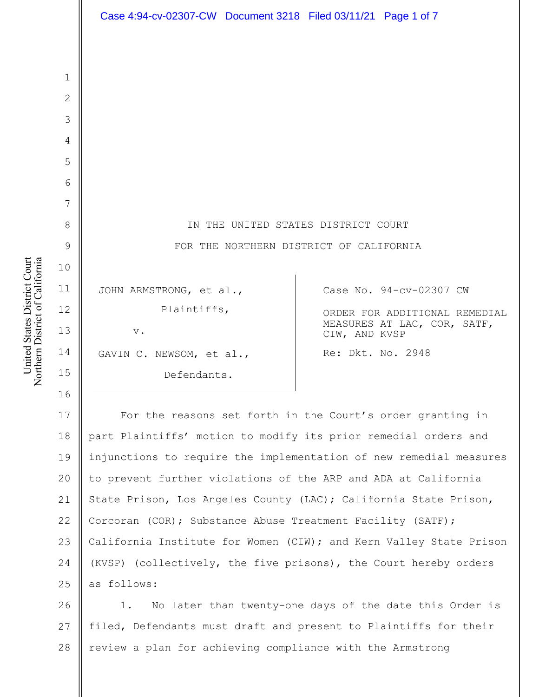| Case 4:94-cv-02307-CW Document 3218 Filed 03/11/21 Page 1 of 7 |                                                              |
|----------------------------------------------------------------|--------------------------------------------------------------|
|                                                                |                                                              |
|                                                                |                                                              |
|                                                                |                                                              |
|                                                                |                                                              |
|                                                                |                                                              |
|                                                                |                                                              |
|                                                                |                                                              |
| IN THE UNITED STATES DISTRICT COURT                            |                                                              |
| FOR THE NORTHERN DISTRICT OF CALIFORNIA                        |                                                              |
|                                                                |                                                              |
| JOHN ARMSTRONG, et al.,                                        | Case No. 94-cv-02307 CW                                      |
| Plaintiffs,                                                    | ORDER FOR ADDITIONAL REMEDIAL<br>MEASURES AT LAC, COR, SATF, |
| $\mathbf v$ .                                                  | CIW, AND KVSP                                                |
| GAVIN C. NEWSOM, et al.,                                       | Re: Dkt. No. 2948                                            |
| Defendants.                                                    |                                                              |

17 18 19 20 21 22 23 24 25 For the reasons set forth in the Court's order granting in part Plaintiffs' motion to modify its prior remedial orders and injunctions to require the implementation of new remedial measures to prevent further violations of the ARP and ADA at California State Prison, Los Angeles County (LAC); California State Prison, Corcoran (COR); Substance Abuse Treatment Facility (SATF); California Institute for Women (CIW); and Kern Valley State Prison (KVSP) (collectively, the five prisons), the Court hereby orders as follows:

26 27 28 1. No later than twenty-one days of the date this Order is filed, Defendants must draft and present to Plaintiffs for their review a plan for achieving compliance with the Armstrong

1

2

3

4

5

6

7

8

9

10

11

12

13

14

15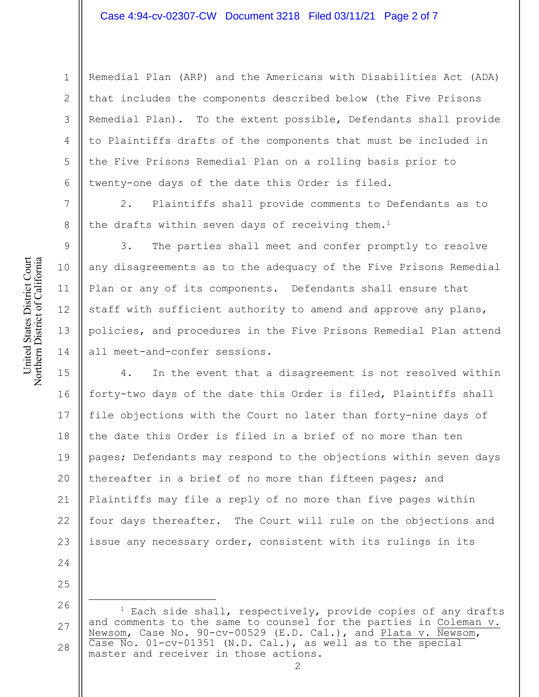Remedial Plan (ARP) and the Americans with Disabilities Act (ADA) that includes the components described below (the Five Prisons Remedial Plan). To the extent possible, Defendants shall provide to Plaintiffs drafts of the components that must be included in the Five Prisons Remedial Plan on a rolling basis prior to twenty-one days of the date this Order is filed.

2. Plaintiffs shall provide comments to Defendants as to the drafts within seven days of receiving them.<sup>1</sup>

3. The parties shall meet and confer promptly to resolve any disagreements as to the adequacy of the Five Prisons Remedial Plan or any of its components. Defendants shall ensure that staff with sufficient authority to amend and approve any plans, policies, and procedures in the Five Prisons Remedial Plan attend all meet-and-confer sessions.

15 16 17 18 19 20 21 22 23 4. In the event that a disagreement is not resolved within forty-two days of the date this Order is filed, Plaintiffs shall file objections with the Court no later than forty-nine days of the date this Order is filed in a brief of no more than ten pages; Defendants may respond to the objections within seven days thereafter in a brief of no more than fifteen pages; and Plaintiffs may file a reply of no more than five pages within four days thereafter. The Court will rule on the objections and issue any necessary order, consistent with its rulings in its

24

25

1

2

3

4

5

6

7

8

9

10

11

12

13

<sup>26</sup> 27 28  $1$  Each side shall, respectively, provide copies of any drafts and comments to the same to counsel for the parties in Coleman v. Newsom, Case No. 90-cv-00529 (E.D. Cal.), and Plata v. Newsom, Case No. 01-cv-01351 (N.D. Cal.), as well as to the special master and receiver in those actions.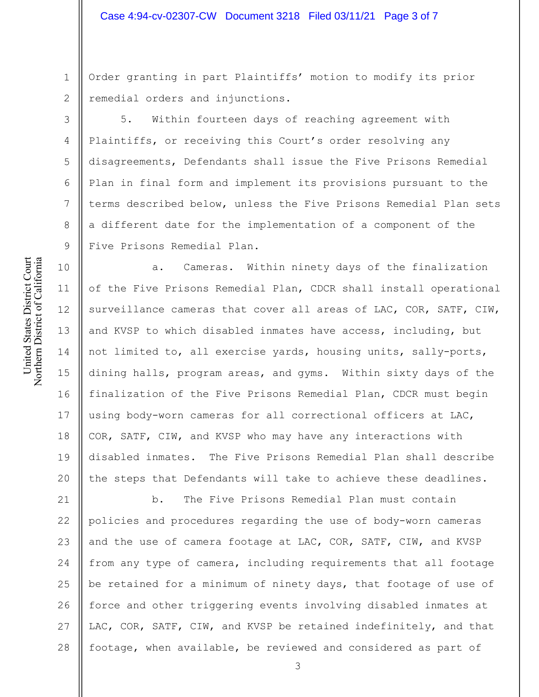1 2 Order granting in part Plaintiffs' motion to modify its prior remedial orders and injunctions.

5. Within fourteen days of reaching agreement with Plaintiffs, or receiving this Court's order resolving any disagreements, Defendants shall issue the Five Prisons Remedial Plan in final form and implement its provisions pursuant to the terms described below, unless the Five Prisons Remedial Plan sets a different date for the implementation of a component of the Five Prisons Remedial Plan.

13 a. Cameras. Within ninety days of the finalization of the Five Prisons Remedial Plan, CDCR shall install operational surveillance cameras that cover all areas of LAC, COR, SATF, CIW, and KVSP to which disabled inmates have access, including, but not limited to, all exercise yards, housing units, sally-ports, dining halls, program areas, and gyms. Within sixty days of the finalization of the Five Prisons Remedial Plan, CDCR must begin using body-worn cameras for all correctional officers at LAC, COR, SATF, CIW, and KVSP who may have any interactions with disabled inmates. The Five Prisons Remedial Plan shall describe the steps that Defendants will take to achieve these deadlines.

21 22 23 24 25 26 27 28 b. The Five Prisons Remedial Plan must contain policies and procedures regarding the use of body-worn cameras and the use of camera footage at LAC, COR, SATF, CIW, and KVSP from any type of camera, including requirements that all footage be retained for a minimum of ninety days, that footage of use of force and other triggering events involving disabled inmates at LAC, COR, SATF, CIW, and KVSP be retained indefinitely, and that footage, when available, be reviewed and considered as part of

3

4

5

6

7

8

9

10

11

12

14

15

16

17

18

19

20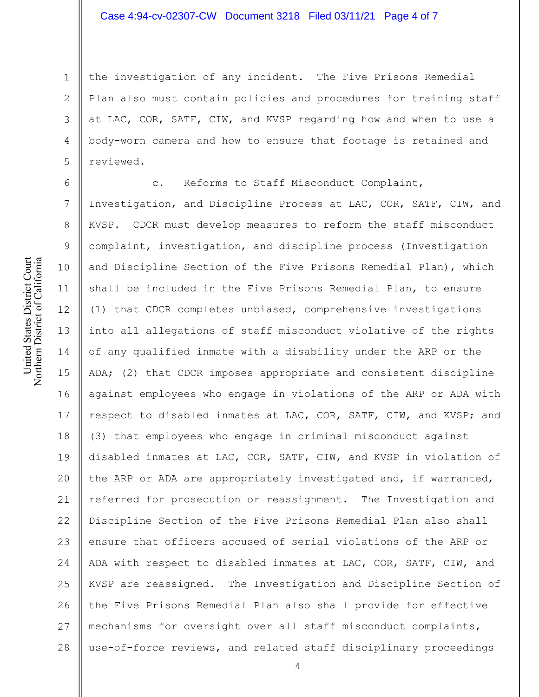1 2 3 4 5 the investigation of any incident. The Five Prisons Remedial Plan also must contain policies and procedures for training staff at LAC, COR, SATF, CIW, and KVSP regarding how and when to use a body-worn camera and how to ensure that footage is retained and reviewed.

6 7 8 9 10 11 12 13 14 15 16 17 18 19 20 21 22 23 24 25 26 27 28 c. Reforms to Staff Misconduct Complaint, Investigation, and Discipline Process at LAC, COR, SATF, CIW, and KVSP. CDCR must develop measures to reform the staff misconduct complaint, investigation, and discipline process (Investigation and Discipline Section of the Five Prisons Remedial Plan), which shall be included in the Five Prisons Remedial Plan, to ensure (1) that CDCR completes unbiased, comprehensive investigations into all allegations of staff misconduct violative of the rights of any qualified inmate with a disability under the ARP or the ADA; (2) that CDCR imposes appropriate and consistent discipline against employees who engage in violations of the ARP or ADA with respect to disabled inmates at LAC, COR, SATF, CIW, and KVSP; and (3) that employees who engage in criminal misconduct against disabled inmates at LAC, COR, SATF, CIW, and KVSP in violation of the ARP or ADA are appropriately investigated and, if warranted, referred for prosecution or reassignment. The Investigation and Discipline Section of the Five Prisons Remedial Plan also shall ensure that officers accused of serial violations of the ARP or ADA with respect to disabled inmates at LAC, COR, SATF, CIW, and KVSP are reassigned. The Investigation and Discipline Section of the Five Prisons Remedial Plan also shall provide for effective mechanisms for oversight over all staff misconduct complaints, use-of-force reviews, and related staff disciplinary proceedings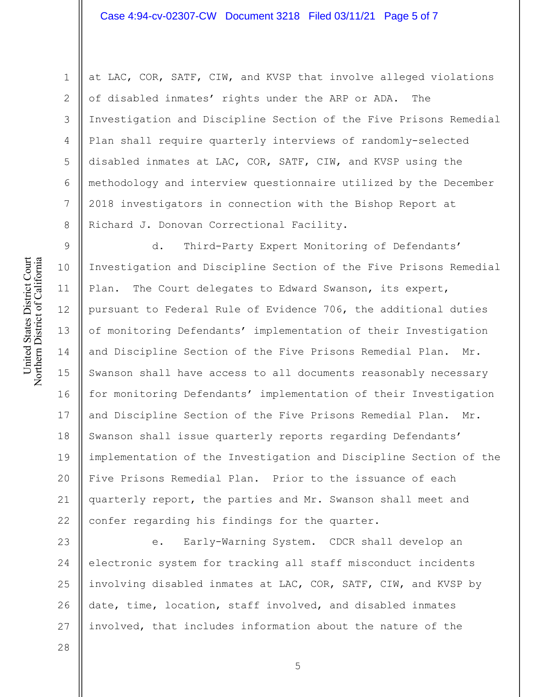at LAC, COR, SATF, CIW, and KVSP that involve alleged violations of disabled inmates' rights under the ARP or ADA. The Investigation and Discipline Section of the Five Prisons Remedial Plan shall require quarterly interviews of randomly-selected disabled inmates at LAC, COR, SATF, CIW, and KVSP using the methodology and interview questionnaire utilized by the December 2018 investigators in connection with the Bishop Report at Richard J. Donovan Correctional Facility.

9 10 11 12 13 14 15 16 17 18 19 20 21 22 d. Third-Party Expert Monitoring of Defendants' Investigation and Discipline Section of the Five Prisons Remedial Plan. The Court delegates to Edward Swanson, its expert, pursuant to Federal Rule of Evidence 706, the additional duties of monitoring Defendants' implementation of their Investigation and Discipline Section of the Five Prisons Remedial Plan. Mr. Swanson shall have access to all documents reasonably necessary for monitoring Defendants' implementation of their Investigation and Discipline Section of the Five Prisons Remedial Plan. Mr. Swanson shall issue quarterly reports regarding Defendants' implementation of the Investigation and Discipline Section of the Five Prisons Remedial Plan. Prior to the issuance of each quarterly report, the parties and Mr. Swanson shall meet and confer regarding his findings for the quarter.

23 24 25 26 27 e. Early-Warning System. CDCR shall develop an electronic system for tracking all staff misconduct incidents involving disabled inmates at LAC, COR, SATF, CIW, and KVSP by date, time, location, staff involved, and disabled inmates involved, that includes information about the nature of the

5

United States District Court Northern District of California United States District Court Northern District of California

1

2

3

4

5

6

7

8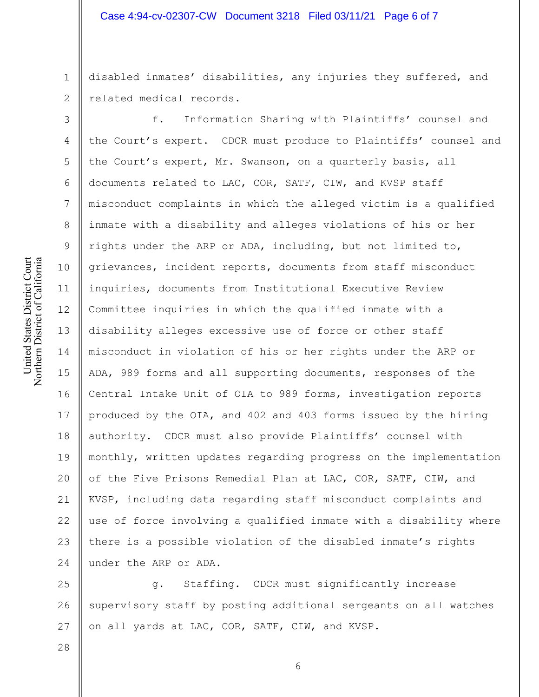disabled inmates' disabilities, any injuries they suffered, and related medical records.

f. Information Sharing with Plaintiffs' counsel and the Court's expert. CDCR must produce to Plaintiffs' counsel and the Court's expert, Mr. Swanson, on a quarterly basis, all documents related to LAC, COR, SATF, CIW, and KVSP staff misconduct complaints in which the alleged victim is a qualified inmate with a disability and alleges violations of his or her rights under the ARP or ADA, including, but not limited to, grievances, incident reports, documents from staff misconduct inquiries, documents from Institutional Executive Review Committee inquiries in which the qualified inmate with a disability alleges excessive use of force or other staff misconduct in violation of his or her rights under the ARP or ADA, 989 forms and all supporting documents, responses of the Central Intake Unit of OIA to 989 forms, investigation reports produced by the OIA, and 402 and 403 forms issued by the hiring authority. CDCR must also provide Plaintiffs' counsel with monthly, written updates regarding progress on the implementation of the Five Prisons Remedial Plan at LAC, COR, SATF, CIW, and KVSP, including data regarding staff misconduct complaints and use of force involving a qualified inmate with a disability where there is a possible violation of the disabled inmate's rights under the ARP or ADA.

25 26 27 g. Staffing. CDCR must significantly increase supervisory staff by posting additional sergeants on all watches on all yards at LAC, COR, SATF, CIW, and KVSP.

United States District Court Northern District of California United States District Court Northern District of California

1

2

3

4

5

6

7

8

9

10

11

12

13

14

15

16

17

18

19

20

21

22

23

24

28